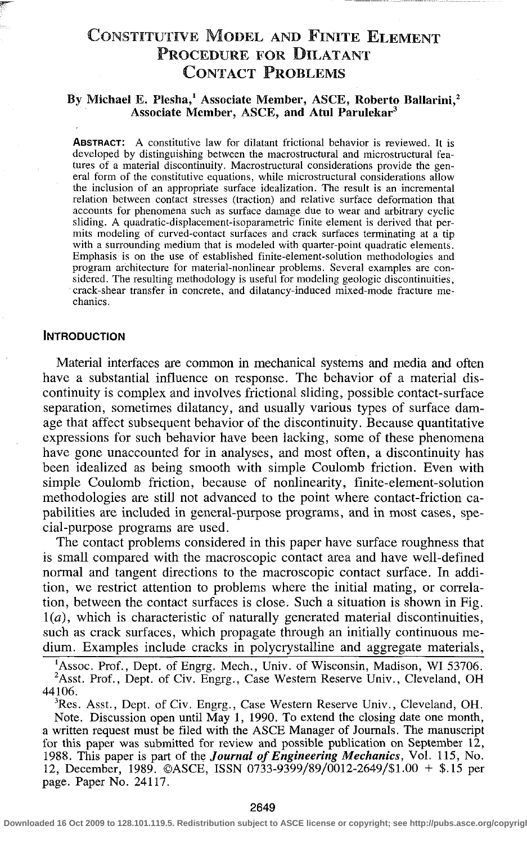# CONSTITUTIVE MODEL AND FINITE ELEMENT PROCEDURE FOR DILATANT CONTACT PROBLEMS

# By Michael E. Plesha,<sup>1</sup> Associate Member, ASCE, Roberto Ballarini,<sup>2</sup> Associate Member, ASCE, and Atul Parulekar<sup>3</sup>

**ABSTRACT:** A constitutive law for dilatant frictional behavior is reviewed. It is developed by distinguishing between the macrostructural and microstructural features of a material discontinuity. Macrostructural considerations provide the general form of the constitutive equations, while microstructural considerations allow the inclusion of an appropriate surface idealization. The result is an incremental relation between contact stresses (traction) and relative surface deformation that accounts for phenomena such as surface damage due to wear and arbitrary cyclic sliding. A quadratic-displacement-isoparametric finite element is derived that permits modeling of curved-contact surfaces and crack surfaces terminating at a tip with a surrounding medium that is modeled with quarter-point quadratic elements. Emphasis is on the use of established finite-element-solution methodologies and program architecture for material-nonlinear problems. Several examples are considered. The resulting methodology is useful for modeling geologic discontinuities, crack-shear transfer in concrete, and dilatancy-induced mixed-mode fracture mechanics.

#### INTRODUCTION

Material interfaces are common in mechanical systems and media and often have a substantial influence on response. The behavior of a material discontinuity is complex and involves frictional sliding, possible contact-surface separation, sometimes dilatancy, and usually various types of surface damage that affect subsequent behavior of the discontinuity. Because quantitative expressions for such behavior have been lacking, some of these phenomena have gone unaccounted for in analyses, and most often, a discontinuity has been idealized as being smooth with simple Coulomb friction. Even with simple Coulomb friction, because of nonlinearity, finite-element-solution methodologies are still not advanced to the point where contact-friction capabilities are included in general-purpose programs, and in most cases, special-purpose programs are used.

The contact problems considered in this paper have surface roughness that is small compared with the macroscopic contact area and have well-defined normal and tangent directions to the macroscopic contact surface. In addition, we restrict attention to problems where the initial mating, or correlation, between the contact surfaces is close. Such a situation is shown in Fig. *1(a),* which is characteristic of naturally generated material discontinuities, such as crack surfaces, which propagate through an initially continuous medium. Examples include cracks in polycrystalline and aggregate materials,

<sup>3</sup>Res. Asst., Dept. of Civ. Engrg., Case Western Reserve Univ., Cleveland, OH. Note. Discussion open until May 1, 1990. To extend the closing date one month, a written request must be filed with the ASCE Manager of Journals. The manuscript for this paper was submitted for review and possible publication on September 12, 1988. This paper is part of the *Journal of Engineering Mechanics,* Vol. 115, No. 12, December, 1989. ©ASCE, ISSN 0733-9399/89/0012-2649/S1.00 + \$.15 per page. Paper No. 24117.

<sup>&</sup>lt;sup>1</sup>Assoc. Prof., Dept. of Engrg. Mech., Univ. of Wisconsin, Madison, WI 53706. <sup>2</sup>Asst. Prof., Dept. of Civ. Engrg., Case Western Reserve Univ., Cleveland, OH 44106.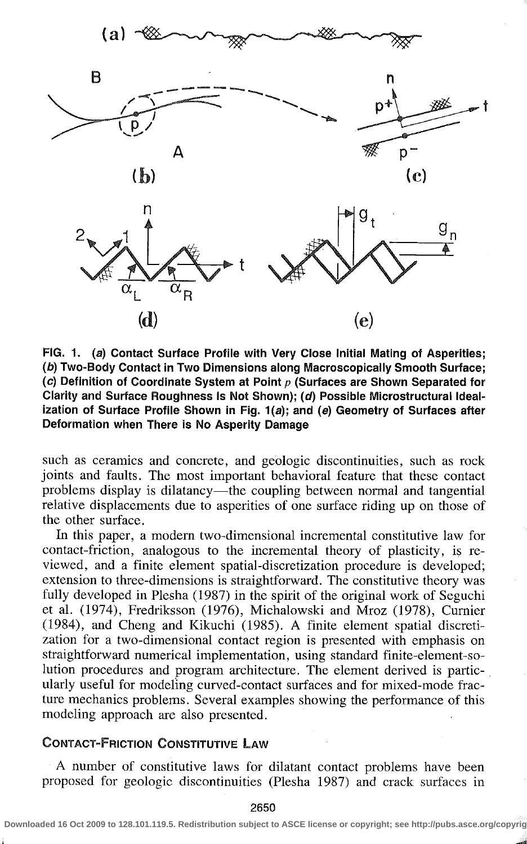

FIG. 1. (a) Contact Surface Profile with Very Close Initial Mating of Asperities; (b) Two-Body Contact in Two Dimensions along Macroscopically Smooth Surface; (c) Definition of Coordinate System at Point  $p$  (Surfaces are Shown Separated for Clarity and Surface Roughness Is Not Shown); (d) Possible Microstructural Idealization of Surface Profile Shown in Fig. 1(a); and (e) Geometry of Surfaces after Deformation when There is No Asperity Damage

such as ceramics and concrete, and geologic discontinuities, such as rock joints and faults. The most important behavioral feature that these contact problems display is dilatancy—the coupling between normal and tangential relative displacements due to asperities of one surface riding up on those of the other surface.

In this paper, a modern two-dimensional incremental constitutive law for contact-friction, analogous to the incremental theory of plasticity, is reviewed, and a finite element spatial-discretization procedure is developed; extension to three-dimensions is straightforward. The constitutive theory was fully developed in Plesha (1987) in the spirit of the original work of Seguchi et al. (1974), Fredriksson (1976), Michalowski and Mroz (1978), Curnier (1984), and Cheng and Kikuchi (1985). A finite element spatial discretization for a two-dimensional contact region is presented with emphasis on straightforward numerical implementation, using standard finite-element-solution procedures and program architecture. The element derived is particularly useful for modeling curved-contact surfaces and for mixed-mode fracture mechanics problems. Several examples showing the performance of this modeling approach are also presented.

# CONTACT-FRICTION CONSTITUTIVE LAW

A number of constitutive laws for dilatant contact problems have been proposed for geologic discontinuities (Plesha 1987) and crack surfaces in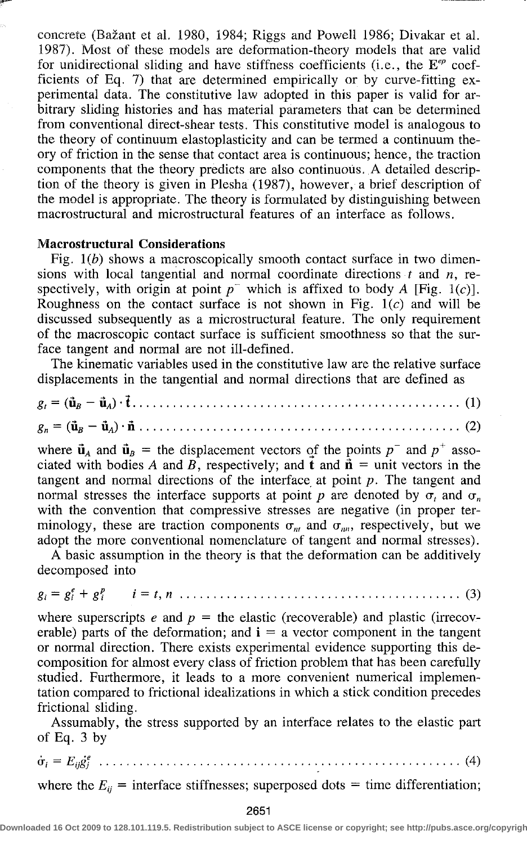concrete (Bazant et al. 1980, 1984; Riggs and Powell 1986; Divakar et al. 1987). Most of these models are deformation-theory models that are valid for unidirectional sliding and have stiffness coefficients (i.e., the  $\mathbb{E}^{ep}$  coefficients of Eq. 7) that are determined empirically or by curve-fitting experimental data. The constitutive law adopted in this paper is valid for arbitrary sliding histories and has material parameters that can be determined from conventional direct-shear tests. This constitutive model is analogous to the theory of continuum elastoplasticity and can be termed a continuum theory of friction in the sense that contact area is continuous; hence, the traction components that the theory predicts are also continuous. A detailed description of the theory is given in Plesha (1987), however, a brief description of the model is appropriate. The theory is formulated by distinguishing between macrostructural and microstructural features of an interface as follows.

# **Macrostructural Considerations**

Fig. *1(b)* shows a macroscopically smooth contact surface in two dimensions with local tangential and normal coordinate directions *t* and *n,* respectively, with origin at point  $p^-$  which is affixed to body A [Fig. 1(c)]. Roughness on the contact surface is not shown in Fig.  $1(c)$  and will be discussed subsequently as a microstructural feature. The only requirement of the macroscopic contact surface is sufficient smoothness so that the surface tangent and normal are not ill-defined.

The kinematic variables used in the constitutive law are the relative surface displacements in the tangential and normal directions that are defined as

*8, =* (As - «tt) • **t** (1) *8n =* (As - uA) • **n** (2)

where  $\vec{u}_A$  and  $\vec{u}_B$  = the displacement vectors of the points  $p^-$  and  $p^+$  associated with bodies A and B, respectively; and  $\vec{t}$  and  $\vec{n}$  = unit vectors in the tangent and normal directions of the interface at point *p.* The tangent and normal stresses the interface supports at point p are denoted by  $\sigma_t$  and  $\sigma_n$ with the convention that compressive stresses are negative (in proper terminology, these are traction components  $\sigma_{nt}$  and  $\sigma_{nn}$ , respectively, but we adopt the more conventional nomenclature of tangent and normal stresses).

A basic assumption in the theory is that the deformation can be additively decomposed into

$$
g_i = g_i^e + g_i^p \qquad i = t, n \dots \dots \dots \dots \dots \dots \dots \dots \dots \dots \dots \dots \dots \dots \dots \dots \tag{3}
$$

where superscripts  $e$  and  $p =$  the elastic (recoverable) and plastic (irrecoverable) parts of the deformation; and  $\mathbf{i} = \mathbf{a}$  vector component in the tangent or normal direction. There exists experimental evidence supporting this decomposition for almost every class of friction problem that has been carefully studied. Furthermore, it leads to a more convenient numerical implementation compared to frictional idealizations in which a stick condition precedes frictional sliding.

Assumably, the stress supported by an interface relates to the elastic part of Eq. 3 by

 $\dot{\sigma}_i = E_{ii} \dot{\sigma}_i^e$  (1) (4)

where the  $E_{ii}$  = interface stiffnesses; superposed dots = time differentiation;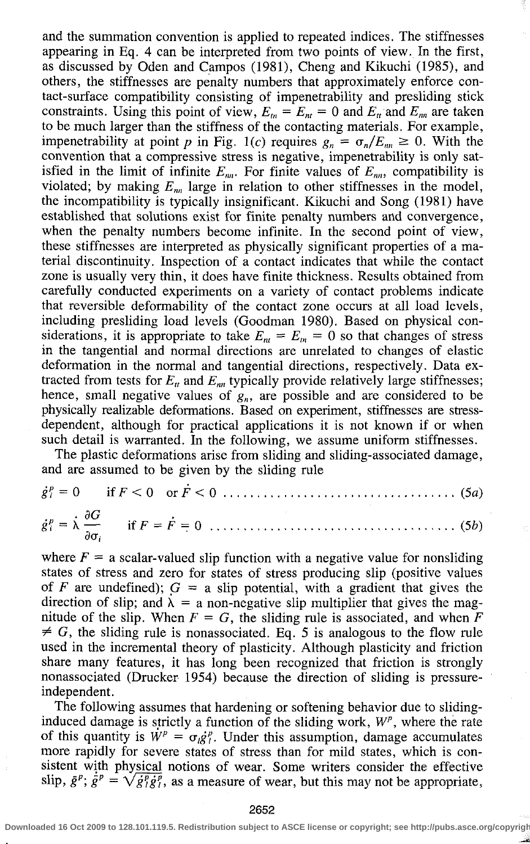and the summation convention is applied to repeated indices. The stiffnesses appearing in Eq. 4 can be interpreted from two points of view. In the first, as discussed by Oden and Campos (1981), Cheng and Kikuchi (1985), and others, the stiffnesses are penalty numbers that approximately enforce contact-surface compatibility consisting of impenetrability and presliding stick constraints. Using this point of view,  $E_n = E_n = 0$  and  $E_n$  and  $E_m$  are taken to be much larger than the stiffness of the contacting materials. For example, impenetrability at point p in Fig. 1(c) requires  $g_n = \sigma_n / E_m \ge 0$ . With the convention that a compressive stress is negative, impenetrability is only satisfied in the limit of infinite  $E_{nn}$ . For finite values of  $E_{nn}$ , compatibility is violated; by making  $E_{nn}$  large in relation to other stiffnesses in the model, the incompatibility is typically insignificant. Kikuchi and Song (1981) have established that solutions exist for finite penalty numbers and convergence, when the penalty numbers become infinite. In the second point of view, these stiffnesses are interpreted as physically significant properties of a material discontinuity. Inspection of a contact indicates that while the contact zone is usually very thin, it does have finite thickness. Results obtained from carefully conducted experiments on a variety of contact problems indicate that reversible deformability of the contact zone occurs at all load levels, including presliding load levels (Goodman 1980). Based on physical considerations, it is appropriate to take  $E_{\mu} = E_{\mu} = 0$  so that changes of stress in the tangential and normal directions are unrelated to changes of elastic deformation in the normal and tangential directions, respectively. Data extracted from tests for  $E_u$  and  $E_m$  typically provide relatively large stiffnesses; hence, small negative values of  $g_n$ , are possible and are considered to be physically realizable deformations. Based on experiment, stiffnesses are stressdependent, although for practical applications it is not known if or when such detail is warranted. In the following, we assume uniform stiffnesses.

The plastic deformations arise from sliding and sliding-associated damage, and are assumed to be given by the sliding rule

where  $F = a$  scalar-valued slip function with a negative value for nonsliding states of stress and zero for states of stress producing slip (positive values of *F* are undefined);  $G = a$  slip potential, with a gradient that gives the direction of slip; and  $\lambda = a$  non-negative slip multiplier that gives the magnitude of the slip. When  $F = G$ , the sliding rule is associated, and when F  $\neq G$ , the sliding rule is nonassociated. Eq. 5 is analogous to the flow rule used in the incremental theory of plasticity. Although plasticity and friction share many features, it has long been recognized that friction is strongly nonassociated (Drucker 1954) because the direction of sliding is pressureindependent.

The following assumes that hardening or softening behavior due to slidinginduced damage is strictly a function of the sliding work,  $W^p$ , where the rate of this quantity is  $W^p = \sigma_{\ell} g_{\ell}^p$ . Under this assumption, damage accumulates more rapidly for severe states of stress than for mild states, which is consistent with physical notions of wear. Some writers consider the effective slip,  $\bar{g}^p$ ;  $\dot{\bar{g}}^p = \sqrt{\dot{g}^p_i \dot{g}^p_i}$ , as a measure of wear, but this may not be appropriate,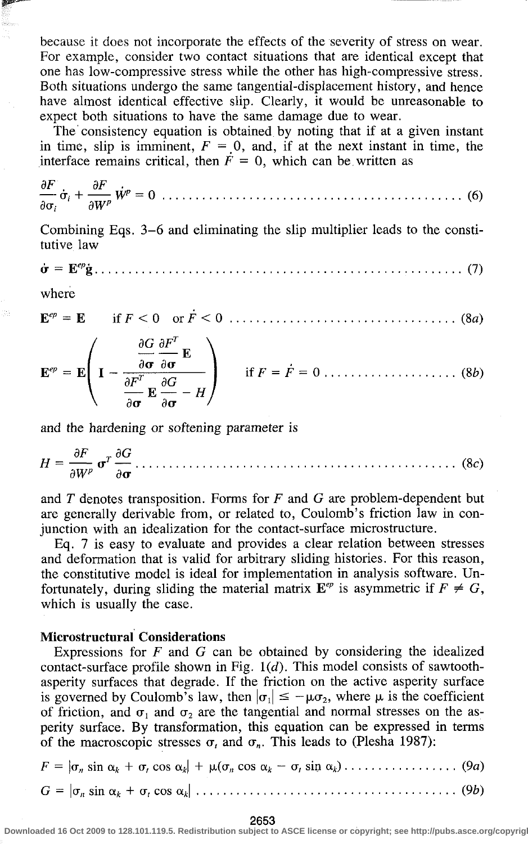because it does not incorporate the effects of the severity of stress on wear. For example, consider two contact situations that are identical except that one has low-compressive stress while the other has high-compressive stress. Both situations undergo the same tangential-displacement history, and hence have almost identical effective slip. Clearly, it would be unreasonable to expect both situations to have the same damage due to wear.

The consistency equation is obtained by noting that if at a given instant in time, slip is imminent,  $F = 0$ , and, if at the next instant in time, the interface remains critical, then  $F = 0$ , which can be written as

$$
\frac{\partial F}{\partial \sigma_i} \dot{\sigma}_i + \frac{\partial F}{\partial W^p} \dot{W}^p = 0 \dots \dots \dots \dots \dots \dots \dots \dots \dots \dots \dots \dots \dots \dots \dots \dots \tag{6}
$$

Combining Eqs. 3-6 and eliminating the slip multiplier leads to the constitutive law

*<r = Wj>* (7)

where

$$
\mathbf{E}^{ep} = \mathbf{E} \qquad \text{if } F < 0 \quad \text{or } F < 0 \quad \dots \dots \dots \dots \dots \dots \dots \dots \dots \dots \dots \dots \tag{8a}
$$

$$
\mathbf{E}^{ep} = \mathbf{E} \left( \mathbf{I} - \frac{\frac{\partial G}{\partial \mathbf{\sigma}} \frac{\partial F^T}{\partial \mathbf{\sigma}} \mathbf{E}}{\frac{\partial F^T}{\partial \mathbf{\sigma}} \mathbf{E} \frac{\partial G}{\partial \mathbf{\sigma}} - H} \right) \quad \text{if } F = \dot{F} = 0 \dots \dots \dots \dots \dots \dots \tag{8b}
$$

and the hardening or softening parameter is

and the hardening or softening parameter is *dF TdG* 

and  $T$  denotes transposition. Forms for  $F$  and  $G$  are problem-dependent but are generally derivable from, or related to, Coulomb's friction law in conjunction with an idealization for the contact-surface microstructure.

Eq.  $7$  is easy to evaluate and provides a clear relation between stresses and deformation that is valid for arbitrary sliding histories. For this reason, the constitutive model is ideal for implementation in analysis software. Unand constitutive model is fact for implementation in analysis soliware. On-<br> $\epsilon$  the state deformation of  $\epsilon$  of the second deformation is  $\epsilon$  of  $\epsilon$  of  $\epsilon$ . toftunately, during shallig the material matrix  $E$  is asymmetric if  $F \neq 0$ , which is usually the case.

# which is usually the case. **Microstructural Considerations**

Expressions for *F* and *G* can be obtained by considering the idealized contact-surface profile shown in Fig. *1(d).* This model consists of sawtoothasperity surfaces that degrade. If the friction on the active asperity surface is governed by Coulomb's law, then  $|\sigma_1| \le -\mu \sigma_2$ , where  $\mu$  is the coefficient of friction, and  $\sigma_1$  and  $\sigma_2$  are the tangential and normal stresses on the asperity surface. By transformation, this equation can be expressed in terms of the macroscopic stresses  $\sigma$ , and  $\sigma$ <sub>n</sub>. This leads to (Plesha 1987):

|  |  |  |  |  | $F =  \sigma_n \sin \alpha_k + \sigma_r \cos \alpha_k  + \mu(\sigma_n \cos \alpha_k - \sigma_r \sin \alpha_k) \dots \dots \dots \dots \dots \dots (9a)$ |
|--|--|--|--|--|---------------------------------------------------------------------------------------------------------------------------------------------------------|
|  |  |  |  |  | $G =  \sigma_n \sin \alpha_k + \sigma_t \cos \alpha_k  \dots \dots \dots \dots \dots \dots \dots \dots \dots \dots \dots \dots \dots (9b)$              |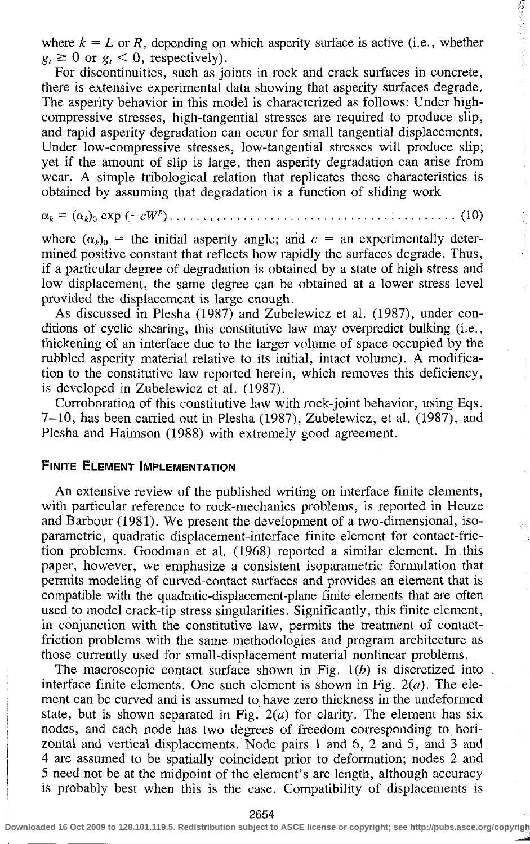where  $k = L$  or R, depending on which asperity surface is active (i.e., whether  $g_i \geq 0$  or  $g_i < 0$ , respectively).

For discontinuities, such as joints in rock and crack surfaces in concrete, there is extensive experimental data showing that asperity surfaces degrade. The asperity behavior in this model is characterized as follows: Under highcompressive stresses, high-tangential stresses are required to produce slip, and rapid asperity degradation can occur for small tangential displacements. Under low-compressive stresses, low-tangential stresses will produce slip; yet if the amount of slip is large, then asperity degradation can arise from wear. A simple tribological relation that replicates these characteristics is obtained by assuming that degradation is a function of sliding work

*ak* = (a<sup>t</sup> .)0 exp *(~cW)* : (10)

where  $(\alpha_k)_0$  = the initial asperity angle; and  $c =$  an experimentally determined positive constant that reflects how rapidly the surfaces degrade. Thus, if a particular degree of degradation is obtained by a state of high stress and low displacement, the same degree can be obtained at a lower stress level provided the displacement is large enough.

As discussed in Plesha (1987) and Zubelewicz et al. (1987), under conditions of cyclic shearing, this constitutive law may overpredict bulking (i.e., thickening of an interface due to the larger volume of space occupied by the rabbled asperity material relative to its initial, intact volume). A modification to the constitutive law reported herein, which removes this deficiency, is developed in Zubelewicz et al. (1987).

Corroboration of this constitutive law with rock-joint behavior, using Eqs. 7-10, has been carried out in Plesha (1987), Zubelewicz, et al. (1987), and Plesha and Haimson (1988) with extremely good agreement.

# FINITE ELEMENT IMPLEMENTATION

An extensive review of the published writing on interface finite elements, with particular reference to rock-mechanics problems, is reported in Heuze and Barbour (1981). We present the development of a two-dimensional, isoparametric, quadratic displacement-interface finite element for contact-friction problems. Goodman et al. (1968) reported a similar element. In this paper, however, we emphasize a consistent isoparametric formulation that permits modeling of curved-contact surfaces and provides an element that is compatible with the quadratic-displacement-plane finite elements that are often used to model crack-tip stress singularities. Significantly, this finite element, in conjunction with the constitutive law, permits the treatment of contactfriction problems with the same methodologies and program architecture as those currently used for small-displacement material nonlinear problems.

The macroscopic contact surface shown in Fig. *1(b)* is discretized into interface finite elements. One such element is shown in Fig. *2(a).* The element can be curved and is assumed to have zero thickness in the undeformed state, but is shown separated in Fig. *2(a)* for clarity. The element has six nodes, and each node has two degrees of freedom corresponding to horizontal and vertical displacements. Node pairs 1 and 6, 2 and 5, and 3 and 4 are assumed to be spatially coincident prior to deformation; nodes 2 and 5 need not be at the midpoint of the element's arc length, although accuracy is probably best when this is the case. Compatibility of displacements is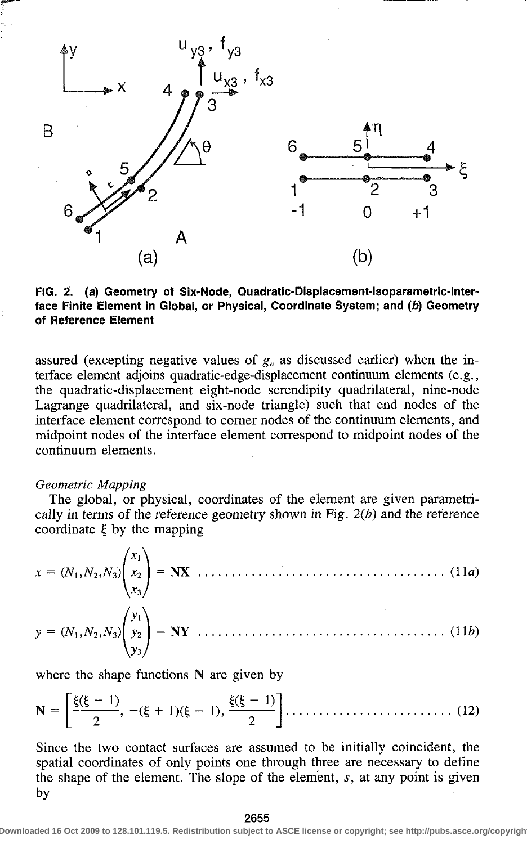

FIG. 2. (a) Geometry of Six-Node, Quadratic-Displacement-Isoparametric-Interface Finite Element in Global, or Physical, Coordinate System; and (b) Geometry of Reference Element

assured (excepting negative values of  $g_n$  as discussed earlier) when the interface element adjoins quadratic-edge-displacement continuum elements (e.g., the quadratic-displacement eight-node serendipity quadrilateral, nine-node Lagrange quadrilateral, and six-node triangle) such that end nodes of the interface element correspond to corner nodes of the continuum elements, and midpoint nodes of the interface element correspond to midpoint nodes of the continuum elements.

#### *Geometric Mapping*

The global, or physical, coordinates of the element are given parametrically in terms of the reference geometry shown in Fig. *2(b)* and the reference coordinate  $\xi$  by the mapping

$$
x = (N_1, N_2, N_3) \begin{pmatrix} x_1 \\ x_2 \\ x_3 \end{pmatrix} = \mathbf{N} \mathbf{X} \dots \dots \dots \dots \dots \dots \dots \dots \dots \dots \tag{11a}
$$

$$
y = (N_1, N_2, N_3) \begin{pmatrix} y_1 \\ y_2 \\ y_3 \end{pmatrix} = \mathbf{N} \mathbf{Y} \dots \dots \dots \dots \dots \dots \dots \dots \dots \dots \dots \dots \dots \tag{11b}
$$

where the shape functions N are given by

$$
\mathbf{N} = \left[ \frac{\xi(\xi - 1)}{2}, -(\xi + 1)(\xi - 1), \frac{\xi(\xi + 1)}{2} \right] \dots \dots \dots \dots \dots \dots \dots \dots \tag{12}
$$

Since the two contact surfaces are assumed to be initially coincident, the spatial coordinates of only points one through three are necessary to define the shape of the element. The slope of the element, *s,* at any point is given by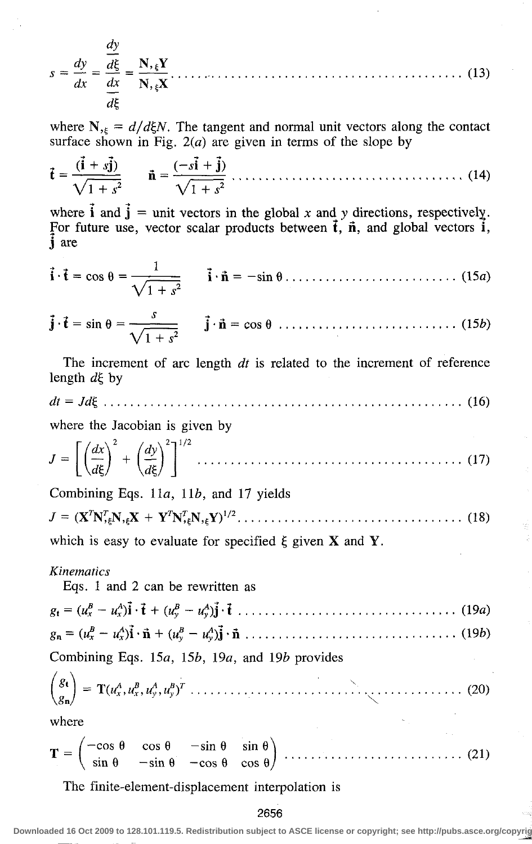$$
s = \frac{dy}{dx} = \frac{\frac{dy}{d\xi}}{\frac{dx}{d\xi}} = \frac{N_{,\xi}Y}{N_{,\xi}X} \tag{13}
$$

where  $N_{55} = d/d\xi N$ . The tangent and normal unit vectors along the contact surface shown in Fig.  $2(a)$  are given in terms of the slope by

$$
\mathbf{\vec{t}} = \frac{(\mathbf{\vec{i}} + s\mathbf{\vec{j}})}{\sqrt{1 + s^2}} \qquad \mathbf{\vec{n}} = \frac{(-s\mathbf{\vec{i}} + \mathbf{\vec{j}})}{\sqrt{1 + s^2}} \dots \dots \dots \dots \dots \dots \dots \dots \dots \dots \tag{14}
$$

where **i** and  $\mathbf{j} = \text{unit}$  vectors in the global *x* and *y* directions, respectively. For future use, vector scalar products between  $\vec{t}$ ,  $\vec{n}$ , and global vectors  $\vec{i}$ , j are

$$
\mathbf{i} \cdot \mathbf{t} = \cos \theta = \frac{1}{\sqrt{1+s^2}} \qquad \mathbf{i} \cdot \mathbf{n} = -\sin \theta \dots \dots \dots \dots \dots \dots \dots \dots \tag{15a}
$$

$$
\mathbf{\vec{j}} \cdot \mathbf{\vec{t}} = \sin \theta = \frac{s}{\sqrt{1+s^2}} \qquad \mathbf{\vec{j}} \cdot \mathbf{\vec{n}} = \cos \theta \quad (15b)
$$

The increment of arc length *dt* is related to the increment of reference length  $d\xi$  by

*dt = Jdi* (16)

where the Jacobian is given by

$$
J = \left[ \left( \frac{dx}{d\xi} \right)^2 + \left( \frac{dy}{d\xi} \right)^2 \right]^{1/2} \dots \dots \dots \dots \dots \dots \dots \dots \dots \dots \dots \dots \dots \tag{17}
$$

Combining Eqs. 11a, *lib,* and 17 yields

$$
J = (\mathbf{X}^T \mathbf{N}_{\epsilon}^T \mathbf{N}_{\epsilon} \mathbf{X} + \mathbf{Y}^T \mathbf{N}_{\epsilon}^T \mathbf{N}_{\epsilon} \mathbf{Y})^{1/2} \dots \dots \dots \dots \dots \dots \dots \dots \dots \dots \tag{18}
$$

which is easy to evaluate for specified  $\xi$  given  $X$  and  $Y$ .

### *Kinematics*

Eqs. 1 and 2 can be rewritten as

| Combining Eqs. 15a, 15b, 19a, and 19b provides |  |  |  |  |  |  |  |  |  |
|------------------------------------------------|--|--|--|--|--|--|--|--|--|
|                                                |  |  |  |  |  |  |  |  |  |
|                                                |  |  |  |  |  |  |  |  |  |

$$
\mathbf{T} = \begin{pmatrix} -\cos\theta & \cos\theta & -\sin\theta & \sin\theta \\ \sin\theta & -\sin\theta & -\cos\theta & \cos\theta \end{pmatrix} \dots (21)
$$

The finite-element-displacement interpolation is

#### 2656

loaded 16 Oct 2009 to 128.101.119.5. Redistribution subject to ASCE license or copyright; see http://pubs.asce.org/c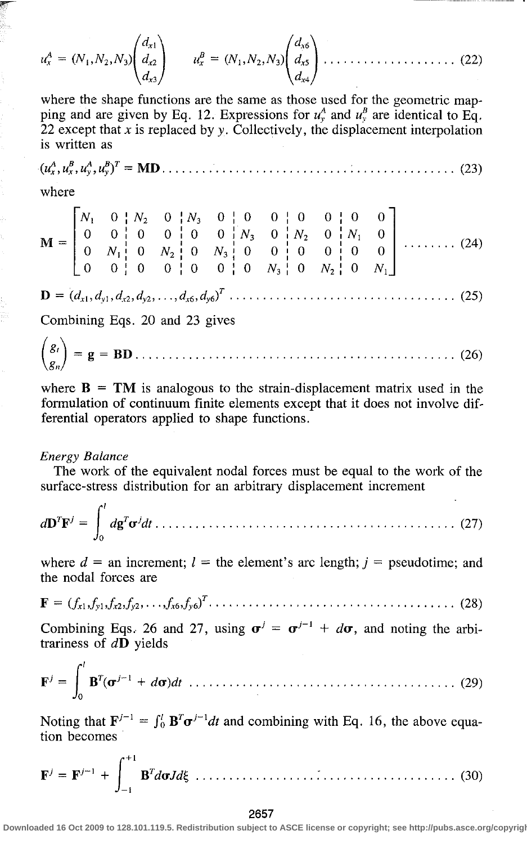$$
u_x^A = (N_1, N_2, N_3) \begin{pmatrix} d_{x1} \\ d_{x2} \\ d_{x3} \end{pmatrix} \qquad u_x^B = (N_1, N_2, N_3) \begin{pmatrix} d_{x6} \\ d_{x5} \\ d_{x4} \end{pmatrix} \dots \qquad (22)
$$

where the shape functions are the same as those used for the geometric mapping and are given by Eq. 12. Expressions for  $u^A$  and  $u^B$  are identical to Eq. 22 except that *x* is replaced by *y.* Collectively, the displacement interpolation is written as

$$
(u_x^A, u_y^B, u_y^A, u_y^B)^T = \mathbf{MD} \dots \dots \dots \dots \dots \dots \dots \dots \dots \dots \dots \dots \dots \dots \dots \tag{23}
$$

where

D = *(dxUdyUdx2,dy2,...,dx6,dy6) T . .*  **(25)** 

Combining Eqs. 20 and 23 gives

 $\overline{1}$ 

**ft =** g = BD (26)

where  $B = TM$  is analogous to the strain-displacement matrix used in the formulation of continuum finite elements except that it does not involve differential operators applied to shape functions.

#### *Energy Balance*

The work of the equivalent nodal forces must be equal to the work of the surface-stress distribution for an arbitrary displacement increment

$$
d\mathbf{D}^T\mathbf{F}^j = \int_0^t d\mathbf{g}^T \mathbf{\sigma}^j dt \dots \dots \dots \dots \dots \dots \dots \dots \dots \dots \dots \dots \dots \dots \dots \dots \dots \tag{27}
$$

where  $d =$  an increment;  $l =$  the element's arc length;  $j =$  pseudotime; and the nodal forces are

F <sup>=</sup> *(fxl>fyltfx2tfy2> • • • ifxijyb)* (28)

Combining Eqs. 26 and 27, using  $\sigma^j = \sigma^{j-1} + d\sigma$ , and noting the arbitrariness of *df)* yields

*•j* = R<sup>r</sup> B'(<r <W-» ; + *da)dt* (29)

Noting that  $\mathbf{F}^{j-1} = \int_0^l \mathbf{B}^T \mathbf{\sigma}^{j-1} dt$  and combining with Eq. 16, the above equation becomes

$$
\mathbf{F}^{j} = \mathbf{F}^{j-1} + \int_{-1}^{+1} \mathbf{B}^{T} d\sigma J d\xi \dots \dots \dots \dots \dots \dots \dots \dots \dots \dots \dots \dots \dots \dots \dots \dots \dots \tag{30}
$$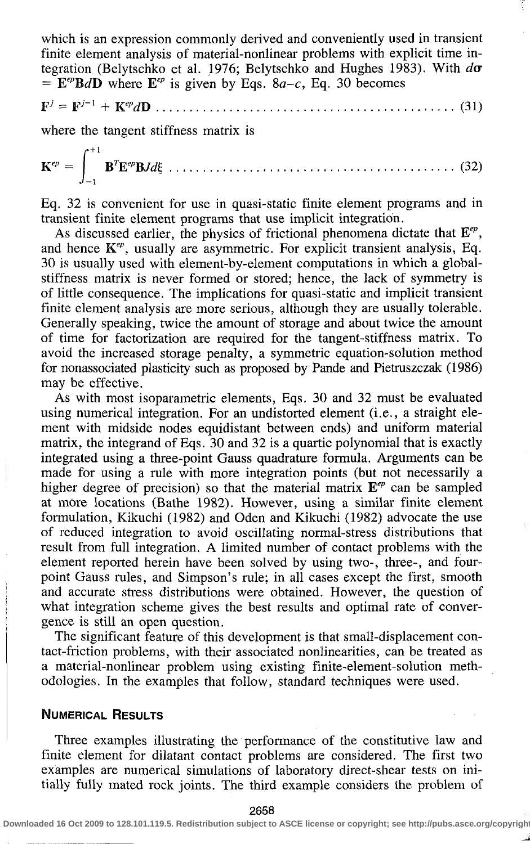which is an expression commonly derived and conveniently used in transient finite element analysis of material-nonlinear problems with explicit time integration (Belytschko et al. 1976; Belytschko and Hughes 1983). With *da*   $=$   $E^{ep}BdD$  where  $E^{ep}$  is given by Eqs. 8*a-c*, Eq. 30 becomes

*F J* = F^ <sup>1</sup> + *KepdB* (31)

where the tangent stiffness matrix is

$$
\mathbf{K}^{ep} = \int_{-1}^{+1} \mathbf{B}^T \mathbf{E}^{ep} \mathbf{B} J d\xi \dots \dots \dots \dots \dots \dots \dots \dots \dots \dots \dots \dots \dots \dots \dots \dots \dots \dots \tag{32}
$$

Eq. 32 is convenient for use in quasi-static finite element programs and in transient finite element programs that use implicit integration.

As discussed earlier, the physics of frictional phenomena dictate that *Eep ,*  and hence  $K^{ep}$ , usually are asymmetric. For explicit transient analysis, Eq. 30 is usually used with element-by-element computations in which a globalstiffness matrix is never formed or stored; hence, the lack of symmetry is of little consequence. The implications for quasi-static and implicit transient finite element analysis are more serious, although they are usually tolerable. Generally speaking, twice the amount of storage and about twice the amount of time for factorization are required for the tangent-stiffness matrix. To avoid the increased storage penalty, a symmetric equation-solution method for nonassociated plasticity such as proposed by Pande and Pietruszczak (1986) may be effective.

As with most isoparametric elements, Eqs. 30 and 32 must be evaluated using numerical integration. For an undistorted element (i.e., a straight element with midside nodes equidistant between ends) and uniform material matrix, the integrand of Eqs. 30 and 32 is a quartic polynomial that is exactly integrated using a three-point Gauss quadrature formula. Arguments can be made for using a rule with more integration points (but not necessarily a higher degree of precision) so that the material matrix  $E^{ep}$  can be sampled at more locations (Bathe 1982). However, using a similar finite element formulation, Kikuchi (1982) and Oden and Kikuchi (1982) advocate the use of reduced integration to avoid oscillating normal-stress distributions that result from full integration. A limited number of contact problems with the element reported herein have been solved by using two-, three-, and fourpoint Gauss rules, and Simpson's rule; in all cases except the first, smooth and accurate stress distributions were obtained. However, the question of what integration scheme gives the best results and optimal rate of convergence is still an open question.

The significant feature of this development is that small-displacement contact-friction problems, with their associated nonlinearities, can be treated as a material-nonlinear problem using existing finite-element-solution methodologies. In the examples that follow, standard techniques were used.

# NUMERICAL RESULTS

Three examples illustrating the performance of the constitutive law and finite element for dilatant contact problems are considered. The first two examples are numerical simulations of laboratory direct-shear tests on initially fully mated rock joints. The third example considers the problem of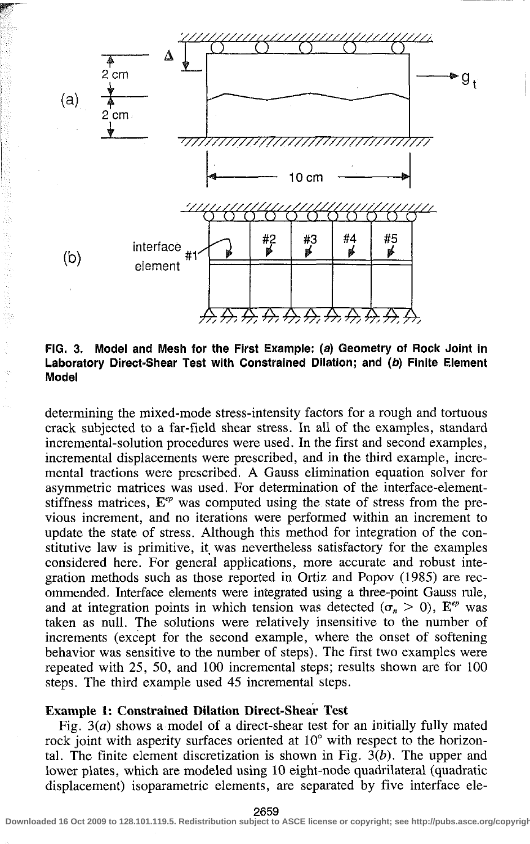

FIG. 3. Model and Mesh for the First Example: (a) Geometry of Rock Joint in Laboratory Direct-Shear Test with Constrained Dilation; and (b) Finite Element Model

determining the mixed-mode stress-intensity factors for a rough and tortuous crack subjected to a far-field shear stress. In all of the examples, standard incremental-solution procedures were used. In the first and second examples, incremental displacements were prescribed, and in the third example, incremental tractions were prescribed. A Gauss elimination equation solver for asymmetric matrices was used. For determination of the interface-elementstiffness matrices,  $\mathbf{E}^{ep}$  was computed using the state of stress from the previous increment, and no iterations were performed within an increment to update the state of stress. Although this method for integration of the constitutive law is primitive, it was nevertheless satisfactory for the examples considered here. For general applications, more accurate and robust integration methods such as those reported in Ortiz and Popov (1985) are recommended. Interface elements were integrated using a three-point Gauss rule, and at integration points in which tension was detected  $(\sigma_n > 0)$ ,  $E^{ep}$  was taken as null. The solutions were relatively insensitive to the number of increments (except for the second example, where the onset of softening behavior was sensitive to the number of steps). The first two examples were repeated with 25, 50, and 100 incremental steps; results shown are for 100 steps. The third example used 45 incremental steps.

# **Example 1: Constrained Dilation Direct-Shear** Test

Fig.  $3(a)$  shows a model of a direct-shear test for an initially fully mated rock joint with asperity surfaces oriented at 10° with respect to the horizontal. The finite element discretization is shown in Fig.  $3(b)$ . The upper and lower plates, which are modeled using 10 eight-node quadrilateral (quadratic displacement) isoparametric elements, are separated by five interface ele-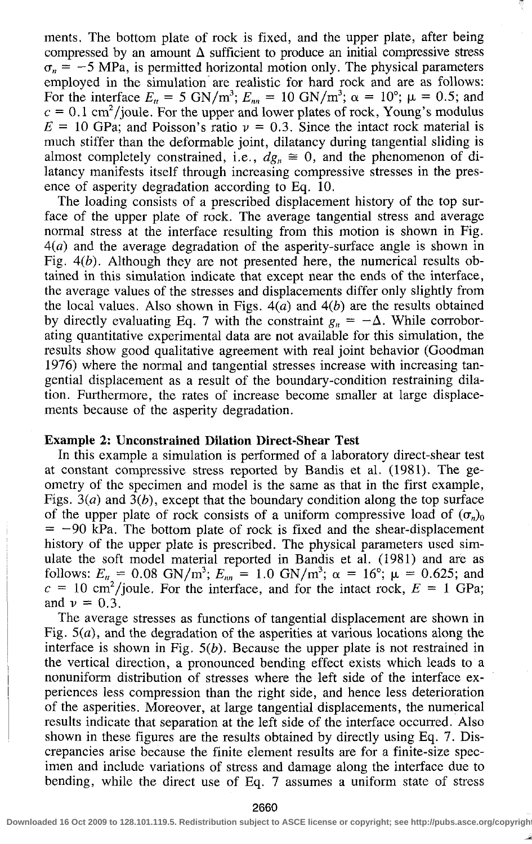ments. The bottom plate of rock is fixed, and the upper plate, after being compressed by an amount  $\Delta$  sufficient to produce an initial compressive stress  $\sigma_n = -5$  MPa, is permitted horizontal motion only. The physical parameters employed in the simulation are realistic for hard rock and are as follows: For the interface  $E_n = 5 \text{ GN/m}^3$ ;  $E_{nn} = 10 \text{ GN/m}^3$ ;  $\alpha = 10^{\circ}$ ;  $\mu = 0.5$ ; and  $c = 0.1$  cm<sup>2</sup>/joule. For the upper and lower plates of rock, Young's modulus  $E = 10$  GPa; and Poisson's ratio  $\nu = 0.3$ . Since the intact rock material is much stiffer than the deformable joint, dilatancy during tangential sliding is almost completely constrained, i.e.,  $dg_n \approx 0$ , and the phenomenon of dilatancy manifests itself through increasing compressive stresses in the presence of asperity degradation according to Eq. 10.

The loading consists of a prescribed displacement history of the top surface of the upper plate of rock. The average tangential stress and average normal stress at the interface resulting from this motion is shown in Fig. *4(a)* and the average degradation of the asperity-surface angle is shown in Fig. *4(b).* Although they are not presented here, the numerical results obtained in this simulation indicate that except near the ends of the interface, the average values of the stresses and displacements differ only slightly from the local values. Also shown in Figs. *4(a)* and *4(b)* are the results obtained by directly evaluating Eq. 7 with the constraint  $g_n = -\Delta$ . While corroborating quantitative experimental data are not available for this simulation, the results show good qualitative agreement with real joint behavior (Goodman 1976) where the normal and tangential stresses increase with increasing tangential displacement as a result of the boundary-condition restraining dilation. Furthermore, the rates of increase become smaller at large displacements because of the asperity degradation.

#### **Example** 2: **Unconstrained Dilation Direct-Shear Test**

In this example a simulation is performed of a laboratory direct-shear test at constant compressive stress reported by Bandis et al. (1981). The geometry of the specimen and model is the same as that in the first example, Figs. 3(a) and *3(b),* except that the boundary condition along the top surface of the upper plate of rock consists of a uniform compressive load of  $(\sigma_n)_0$  $=$  -90 kPa. The bottom plate of rock is fixed and the shear-displacement history of the upper plate is prescribed. The physical parameters used simulate the soft model material reported in Bandis et al. (1981) and are as follows:  $E_n = 0.08$  GN/m<sup>3</sup>;  $E_m = 1.0$  GN/m<sup>3</sup>;  $\alpha = 16^{\circ}$ ;  $\mu = 0.625$ ; and  $c = 10 \text{ cm}^2/\text{joule}$ . For the interface, and for the intact rock,  $E = 1 \text{ GPa}$ ; and  $v = 0.3$ .

The average stresses as functions of tangential displacement are shown in Fig.  $5(a)$ , and the degradation of the asperities at various locations along the interface is shown in Fig. *5(b).* Because the upper plate is not restrained in the vertical direction, a pronounced bending effect exists which leads to a nonuniform distribution of stresses where the left side of the interface experiences less compression than the right side, and hence less deterioration of the asperities. Moreover, at large tangential displacements, the numerical results indicate that separation at the left side of the interface occurred. Also shown in these figures are the results obtained by directly using Eq. 7. Discrepancies arise because the finite element results are for a finite-size specimen and include variations of stress and damage along the interface due to bending, while the direct use of Eq. 7 assumes a uniform state of stress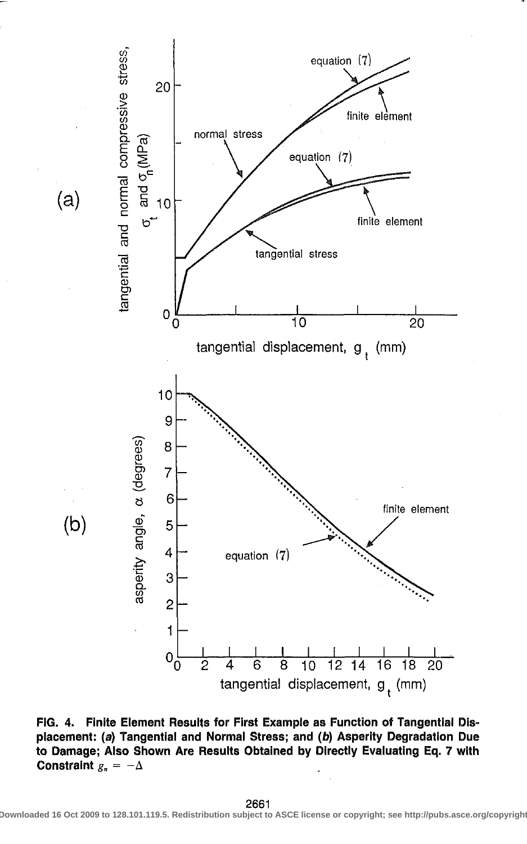

FIG. 4. Finite Element Results for First Example as Function of Tangential Displacement: (a) Tangential and Normal Stress; and (b) Asperity Degradation Due to Damage; Also Shown Are Results Obtained by Directly Evaluating Eq. 7 with Constraint  $g_n = -\Delta$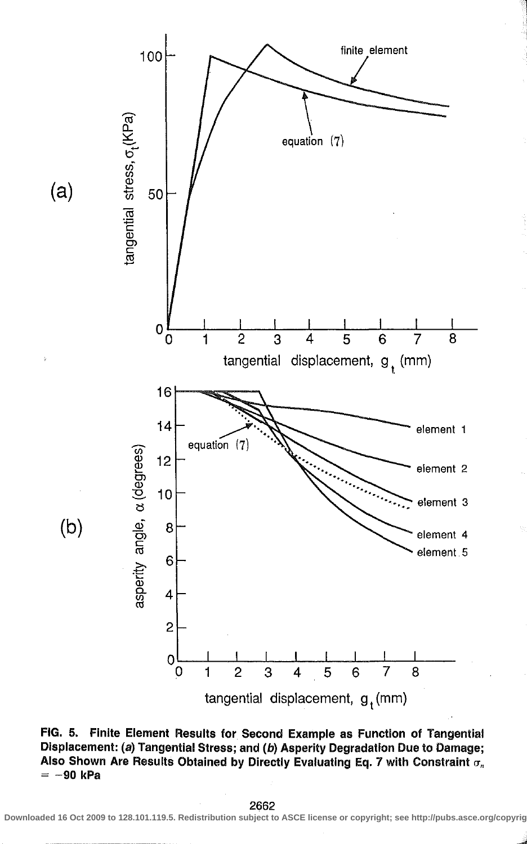

FIG. 5. Finite Element Results for Second Example as Function of Tangential Displacement: (a) Tangential Stress; and (b) Asperity Degradation Due to Damage; Also Shown Are Results Obtained by Directly Evaluating Eq. 7 with Constraint  $\sigma_n$  $= -90$  kPa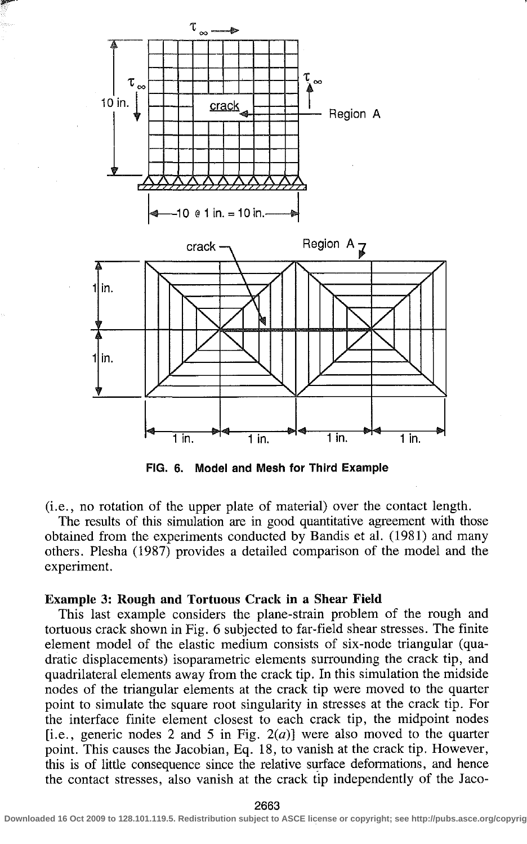

**FIG. 6. Model and Mesh for Third Example** 

(i.e., no rotation of the upper plate of material) over the contact length.

The results of this simulation are in good quantitative agreement with those obtained from the experiments conducted by Bandis et al. (1981) and many others. Plesha (1987) provides a detailed comparison of the model and the experiment.

#### **Example 3: Rough and Tortuous Crack in a Shear Field**

This last example considers the plane-strain problem of the rough and tortuous crack shown in Fig. 6 subjected to far-field shear stresses. The finite element model of the elastic medium consists of six-node triangular (quadratic displacements) isoparametric elements surrounding the crack tip, and quadrilateral elements away from the crack tip. In this simulation the midside nodes of the triangular elements at the crack tip were moved to the quarter point to simulate the square root singularity in stresses at the crack tip. For the interface finite element closest to each crack tip, the midpoint nodes [i.e., generic nodes 2 and 5 in Fig.  $2(a)$ ] were also moved to the quarter point. This causes the Jacobian, Eq. 18, to vanish at the crack tip. However, this is of little consequence since the relative surface deformations, and hence the contact stresses, also vanish at the crack tip independently of the Jaco-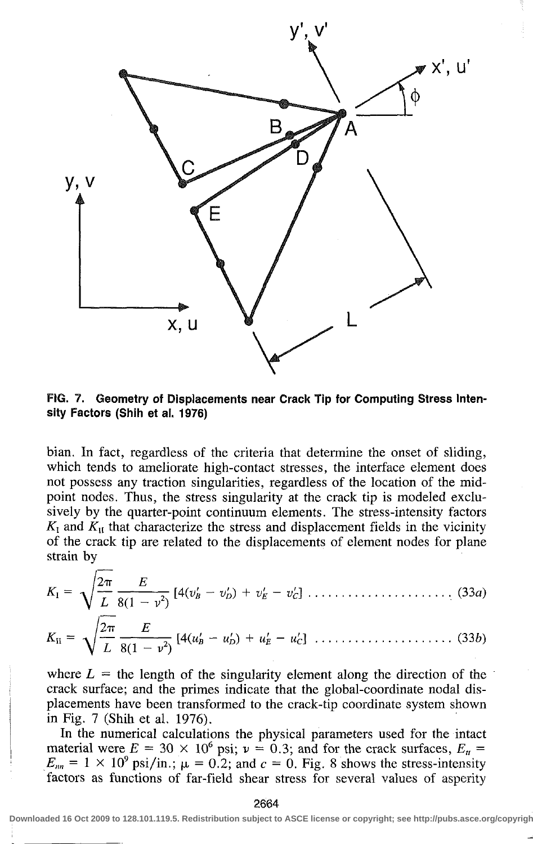

FIG. 7. Geometry of Displacements near Crack Tip for Computing Stress Intensity Factors (Shih et al. 1976)

bian. In fact, regardless of the criteria that determine the onset of sliding, which tends to ameliorate high-contact stresses, the interface element does not possess any traction singularities, regardless of the location of the midpoint nodes. Thus, the stress singularity at the crack tip is modeled exclusively by the quarter-point continuum elements. The stress-intensity factors  $K_I$  and  $K_{II}$  that characterize the stress and displacement fields in the vicinity of the crack tip are related to the displacements of element nodes for plane strain by

**\* i =**  *KB =*  2<7T *L* 8(1 - *v 2 )*  [4(l>s - *V'D) + V'E - V'c]*  2TT *[4(UB - u'D) + u'E - u'd*  (33a) (336)

where 
$$
L =
$$
 the length of the singularity element along the direction of the  
create surface; and the primes indicate that the global coordinate nodal die

crack surface; and the primes indicate that the global-coordinate nodal displacements have been transformed to the crack-tip coordinate system shown in Fig. 7 (Shih et al. 1976).

In the numerical calculations the physical parameters used for the intact material were  $E = 30 \times 10^6$  psi;  $v = 0.3$ ; and for the crack surfaces,  $E_u =$  $E_{nn} = 1 \times 10^9 \text{ psi/in.}; \mu = 0.2; \text{ and } c = 0. \text{ Fig. 8 shows the stress-intensity}$ factors as functions of far-field shear stress for several values of asperity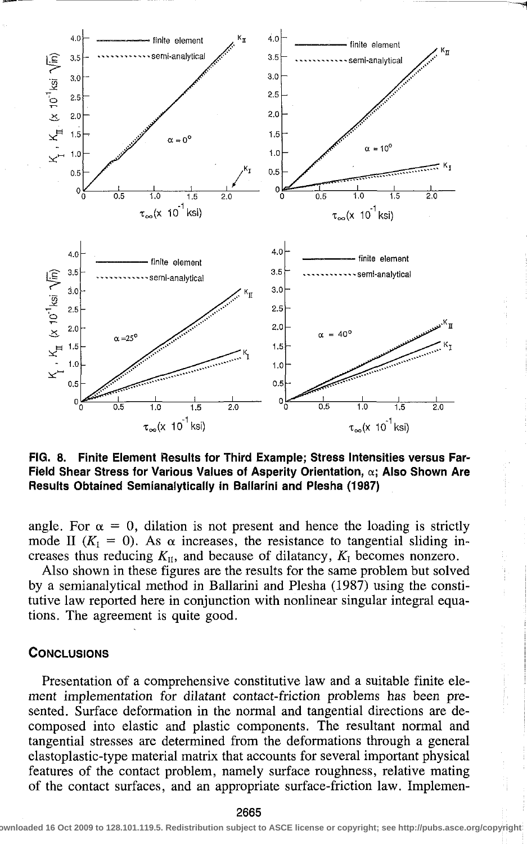

**FIG. 8. Finite Element Results for Third Example; Stress Intensities versus Far-Field Shear Stress for Various Values of Asperity Orientation, a; Also Shown Are Results Obtained Semianalytically in Ballarini and Plesha (1987)** 

angle. For  $\alpha = 0$ , dilation is not present and hence the loading is strictly mode II ( $K<sub>1</sub> = 0$ ). As  $\alpha$  increases, the resistance to tangential sliding increases thus reducing  $K_{II}$ , and because of dilatancy,  $K_I$  becomes nonzero.

Also shown in these figures are the results for the same problem but solved by a semianalytical method in Ballarini and Plesha (1987) using the constitutive law reported here in conjunction with nonlinear singular integral equations. The agreement is quite good.

#### **CONCLUSIONS**

Presentation of a comprehensive constitutive law and a suitable finite element implementation for dilatant contact-friction problems has been presented. Surface deformation in the normal and tangential directions are decomposed into elastic and plastic components. The resultant normal and tangential stresses are determined from the deformations through a general elastoplastic-type material matrix that accounts for several important physical features of the contact problem, namely surface roughness, relative mating of the contact surfaces, and an appropriate surface-friction law. Implemen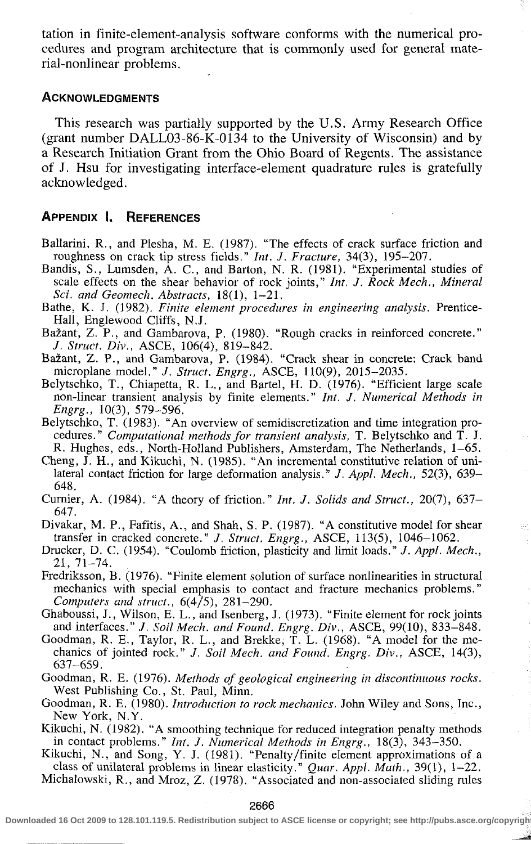tation in finite-element-analysis software conforms with the numerical procedures and program architecture that is commonly used for general material-nonlinear problems.

#### ACKNOWLEDGMENTS

This research was partially supported by the U.S. Army Research Office (grant number DALL03-86-K-0134 to the University of Wisconsin) and by a Research Initiation Grant from the Ohio Board of Regents. The assistance of J. Hsu for investigating interface-element quadrature rules is gratefully acknowledged.

# APPENDIX I. REFERENCES

- Ballarini, R., and Plesha, M. E. (1987). "The effects of crack surface friction and roughness on crack tip stress fields." *Int. J. Fracture,* 34(3), 195-207.
- Bandis, S., Lumsden, A. C, and Barton, N. R. (1981). "Experimental studies of scale effects on the shear behavior of rock joints," *Int. J. Rock Mech., Mineral Sci. and Geomech. Abstracts,* 18(1), 1-21.
- Bathe, K. J. (1982). *Finite element procedures in engineering analysis.* Prentice-Hall, Englewood Cliffs, N.J.
- Bazant, Z. P., and Gambarova, P. (1980). "Rough cracks in reinforced concrete." *J. Struct. Div.,* ASCE, 106(4), 819-842.
- Bazant, Z. P., and Gambarova, P. (1984). "Crack shear in concrete: Crack band microplane model." /. *Struct. Engrg.,* ASCE, 110(9), 2015-2035.
- Belytschko, T., Chiapetta, R. L., and Bartel, H. D. (1976). "Efficient large scale non-linear transient analysis by finite elements." *Int. J. Numerical Methods in Engrg.,* 10(3), 579-596.
- Belytschko, T. (1983). "An overview of semidiscretization and time integration procedures." *Computational methods for transient analysis,* T. Belytschko and T. J. R. Hughes, eds., North-Holland Publishers, Amsterdam, The Netherlands, 1-65.
- Cheng, J. H., and Kikuchi, N. (1985). "An incremental constitutive relation of unilateral contact friction for large deformation analysis." *J. Appl. Mech.,* 52(3), 639- 648.
- Curnier, A. (1984). "A theory of friction." *Int. J. Solids and Struct.,* 20(7), 637- 647.
- Divakar, M. P., Fafitis, A., and Shah, S. P. (1987). "A constitutive model for shear transfer in cracked concrete." *J. Struct. Engrg.,* ASCE, 113(5), 1046-1062.
- Drucker, D. C. (1954). "Coulomb friction, plasticity and limit loads." *J. Appl. Mech.,*  21, 71-74.
- Fredriksson, B. (1976). "Finite element solution of surface nonlinearities in structural mechanics with special emphasis to contact and fracture mechanics problems." *Computers and struct.,* 6(4/5), 281-290.
- Ghaboussi, J., Wilson, E. L., and Isenberg, J. (1973). "Finite element for rock joints and interfaces." /. *Soil Mech. and Found. Engrg. Div.,* ASCE, 99(10), 833-848.
- Goodman, R. E., Taylor, R. L,, and Brekke, T. L. (1968). "A model for the mechanics of jointed rock." *J. Soil Mech. and Found. Engrg. Div.,* ASCE, 14(3), 637-659.
- Goodman, R. E. (1976). *Methods of geological engineering in discontinuous rocks.*  West Publishing Co., St. Paul, Minn.
- Goodman, R. E. (1980). *Introduction to rock mechanics.* John Wiley and Sons, Inc., New York, N.Y.
- Kikuchi, N. (1982). "A smoothing technique for reduced integration penalty methods in contact problems." *Int. J. Numerical Methods in Engrg.,* 18(3), 343-350.

Kikuchi, N., and Song, Y. J. (1981). "Penalty/finite element approximations of a class of unilateral problems in linear elasticity." *Quar. Appl. Math.,* 39(1), 1-22. Michalowski, R., and Mroz, Z. (1978). "Associated and non-associated sliding rules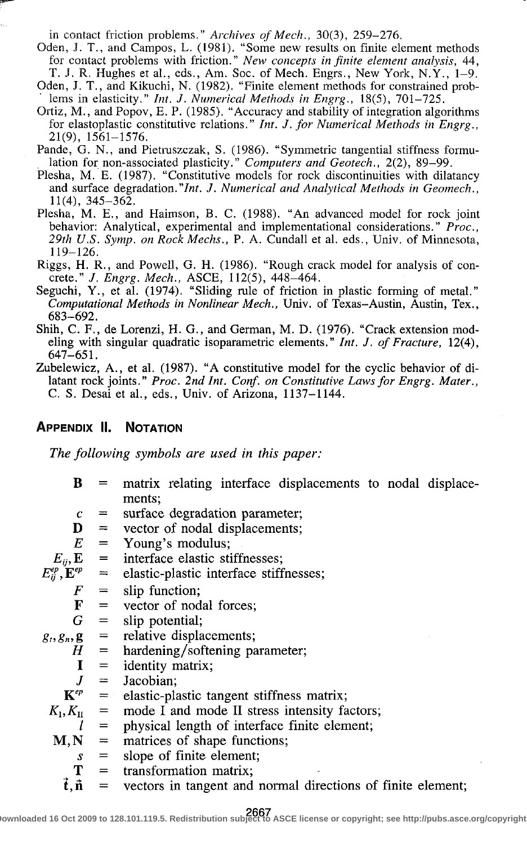in contact friction problems." *Archives of Mech.,* 30(3), 259-276.

- Oden, J. T., and Campos, L. (1981). "Some new results on finite element methods for contact problems with friction." *New concepts in finite element analysis,* 44, T. J. R. Hughes et al., eds., Am. Soc. of Mech. Engrs., New York, N.Y., 1-9.
- Oden, J. T., and Kikuchi, N. (1982). "Finite element methods for constrained problems in elasticity." *Int. J. Numerical Methods in Engrg.,* 18(5), 701-725.
- Ortiz, M., and Popov, E. P. (1985). "Accuracy and stability of integration algorithms for elastoplastic constitutive relations." *Int. J. for Numerical Methods in Engrg.,*  21(9), 1561-1576.
- Pande, G. N., and Pietruszczak, S. (1986). "Symmetric tangential stiffness formulation for non-associated plasticity." *Computers and Geotech.,* 2(2), 89-99.
- Plesha, M. E. (1987). "Constitutive models for rock discontinuities with dilatancy and surface degradation.*"Int. J. Numerical and Analytical Methods in Geomech.,*  11(4), 345-362.
- Plesha, M. E., and Haimson, B. C. (1988). "An advanced model for rock joint behavior: Analytical, experimental and implementational considerations." *Proc, 29th U.S. Symp. on Rock Mechs.,* P. A. Cundall et al. eds., Univ. of Minnesota, 119-126.
- Riggs, H. R., and Powell, G. H. (1986). "Rough crack model for analysis of concrete." *J. Engrg. Mech.,* ASCE, 112(5), 448-464.
- Seguchi, Y., et al. (1974). "Sliding rule of friction in plastic forming of metal." *Computational Methods in Nonlinear Mech.,* Univ. of Texas-Austin, Austin, Tex., 683-692.
- Shih, C. F., de Lorenzi, H. G., and German, M. D. (1976). "Crack extension modeling with singular quadratic isoparametric elements." *Int. J. of Fracture,* 12(4), 647-651.
- Zubelewicz, A., et al. (1987). "A constitutive model for the cyclic behavior of dilatant rock joints." *Proc. 2nd Int. Conf. on Constitutive Laws for Engrg. Mater.,*  C. S. Desai et al., eds., Univ. of Arizona, 1137-1144.

# APPENDIX II. NOTATION

*The following symbols are used in this paper:* 

- B matrix relating interface displacements to nodal displacements;
- *c*  = surface degradation parameter;
- D = vector of nodal displacements;
- *E*   $=$ Young's modulus;

$$
E_{ij}, \mathbf{E} = \text{interface elastic stiffnesses};
$$

$$
E_{ij}^{ep}, \mathbf{E}^{ep} = \text{elastic-plastic interface stiffnesses};
$$

*F*  = slip function;

$$
= \quad \text{vector of nodal forces};
$$

*G*   $=$ slip potential;

F

 $g_t, g_n, g$  $=$ relative displacements;

- *H*  = hardening/softening parameter;
	- I  $=$ identity matrix;
	- $J$ = Jacobian;

$$
\mathbf{K}^{ep} = \text{elastic-plastic tangent stiffness matrix};
$$

- $K_{\rm I}$ *K<sub>u</sub>* = mode I and mode II stress intensity factors;
	- *I*  = physical length of interface finite element;
- $M,N$  $=$ matrices of shape functions;
	- *s*   $=$ slope of finite element;
	- T = transformation matrix;
	- t, ñ = vectors in tangent and normal directions of finite element;